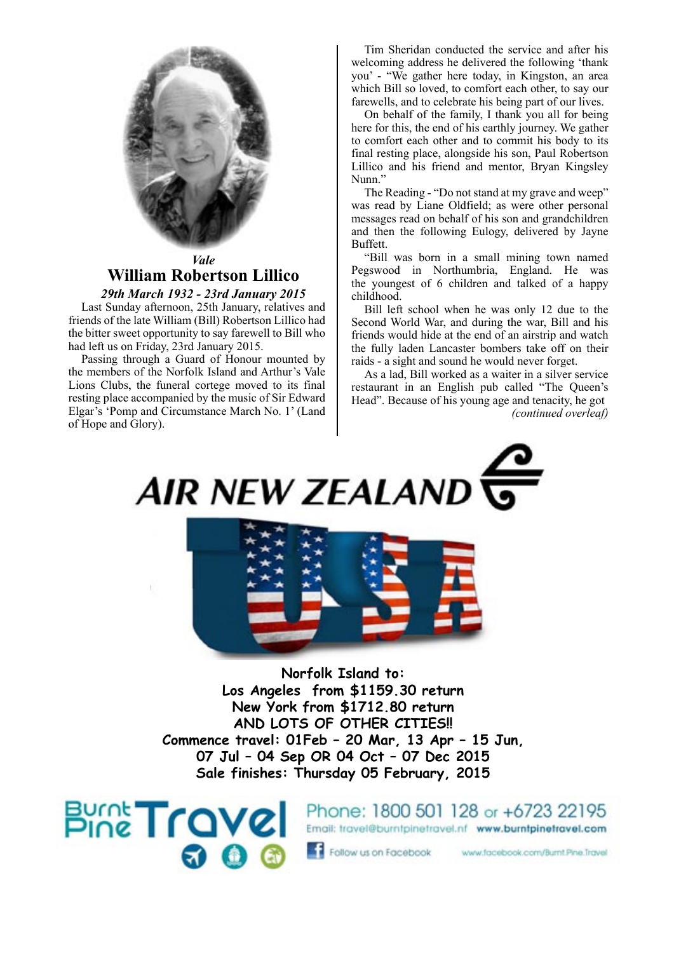

### *Vale* **William Robertson Lillico**

*29th March 1932 - 23rd January 2015* Last Sunday afternoon, 25th January, relatives and friends of the late William (Bill) Robertson Lillico had the bitter sweet opportunity to say farewell to Bill who had left us on Friday, 23rd January 2015.

Passing through a Guard of Honour mounted by the members of the Norfolk Island and Arthur's Vale Lions Clubs, the funeral cortege moved to its final resting place accompanied by the music of Sir Edward Elgar's 'Pomp and Circumstance March No. 1' (Land of Hope and Glory).

Tim Sheridan conducted the service and after his welcoming address he delivered the following 'thank you' - "We gather here today, in Kingston, an area which Bill so loved, to comfort each other, to say our farewells, and to celebrate his being part of our lives.

On behalf of the family, I thank you all for being here for this, the end of his earthly journey. We gather to comfort each other and to commit his body to its final resting place, alongside his son, Paul Robertson Lillico and his friend and mentor, Bryan Kingsley Nunn."

The Reading - "Do not stand at my grave and weep" was read by Liane Oldfield; as were other personal messages read on behalf of his son and grandchildren and then the following Eulogy, delivered by Jayne Buffett.

"Bill was born in a small mining town named Pegswood in Northumbria, England. He was the youngest of 6 children and talked of a happy childhood.

Bill left school when he was only 12 due to the Second World War, and during the war, Bill and his friends would hide at the end of an airstrip and watch the fully laden Lancaster bombers take off on their raids - a sight and sound he would never forget.

As a lad, Bill worked as a waiter in a silver service restaurant in an English pub called "The Queen's Head". Because of his young age and tenacity, he got *(continued overleaf)*

**AIR NEW ZEALAND** 



**Norfolk Island to: Los Angeles from \$1159.30 return New York from \$1712.80 return AND LOTS OF OTHER CITIES!! Commence travel: 01Feb – 20 Mar, 13 Apr – 15 Jun, 07 Jul – 04 Sep OR 04 Oct – 07 Dec 2015 Sale finishes: Thursday 05 February, 2015**

**Burnt Travel** 

Phone: 1800 501 128 or +6723 22195 Email: travel@burntpinetravel.nf www.burntpinetravel.com

Follow us on Facebook

www.facebook.com/Burnt.Pine.Travel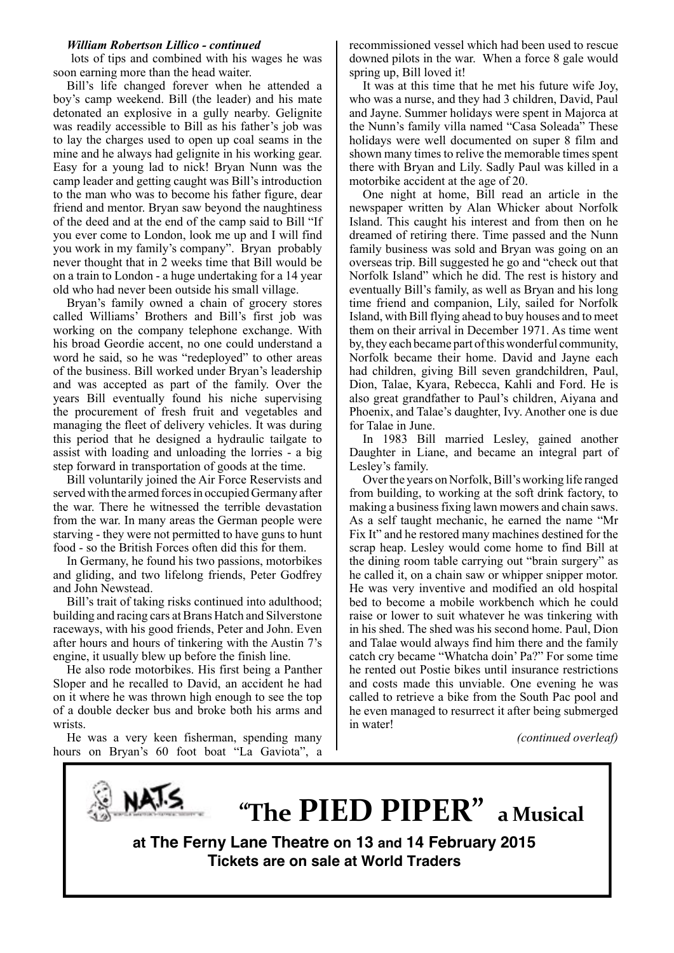#### *William Robertson Lillico - continued*

 lots of tips and combined with his wages he was soon earning more than the head waiter.

Bill's life changed forever when he attended a boy's camp weekend. Bill (the leader) and his mate detonated an explosive in a gully nearby. Gelignite was readily accessible to Bill as his father's job was to lay the charges used to open up coal seams in the mine and he always had gelignite in his working gear. Easy for a young lad to nick! Bryan Nunn was the camp leader and getting caught was Bill's introduction to the man who was to become his father figure, dear friend and mentor. Bryan saw beyond the naughtiness of the deed and at the end of the camp said to Bill "If you ever come to London, look me up and I will find you work in my family's company". Bryan probably never thought that in 2 weeks time that Bill would be on a train to London - a huge undertaking for a 14 year old who had never been outside his small village.

Bryan's family owned a chain of grocery stores called Williams' Brothers and Bill's first job was working on the company telephone exchange. With his broad Geordie accent, no one could understand a word he said, so he was "redeployed" to other areas of the business. Bill worked under Bryan's leadership and was accepted as part of the family. Over the years Bill eventually found his niche supervising the procurement of fresh fruit and vegetables and managing the fleet of delivery vehicles. It was during this period that he designed a hydraulic tailgate to assist with loading and unloading the lorries - a big step forward in transportation of goods at the time.

Bill voluntarily joined the Air Force Reservists and served with the armed forces in occupied Germany after the war. There he witnessed the terrible devastation from the war. In many areas the German people were starving - they were not permitted to have guns to hunt food - so the British Forces often did this for them.

In Germany, he found his two passions, motorbikes and gliding, and two lifelong friends, Peter Godfrey and John Newstead.

Bill's trait of taking risks continued into adulthood; building and racing cars at Brans Hatch and Silverstone raceways, with his good friends, Peter and John. Even after hours and hours of tinkering with the Austin 7's engine, it usually blew up before the finish line.

He also rode motorbikes. His first being a Panther Sloper and he recalled to David, an accident he had on it where he was thrown high enough to see the top of a double decker bus and broke both his arms and wrists.

He was a very keen fisherman, spending many hours on Bryan's 60 foot boat "La Gaviota", a recommissioned vessel which had been used to rescue downed pilots in the war. When a force 8 gale would spring up, Bill loved it!

It was at this time that he met his future wife Joy, who was a nurse, and they had 3 children, David, Paul and Jayne. Summer holidays were spent in Majorca at the Nunn's family villa named "Casa Soleada" These holidays were well documented on super 8 film and shown many times to relive the memorable times spent there with Bryan and Lily. Sadly Paul was killed in a motorbike accident at the age of 20.

One night at home, Bill read an article in the newspaper written by Alan Whicker about Norfolk Island. This caught his interest and from then on he dreamed of retiring there. Time passed and the Nunn family business was sold and Bryan was going on an overseas trip. Bill suggested he go and "check out that Norfolk Island" which he did. The rest is history and eventually Bill's family, as well as Bryan and his long time friend and companion, Lily, sailed for Norfolk Island, with Bill flying ahead to buy houses and to meet them on their arrival in December 1971. As time went by, they each became part of this wonderful community, Norfolk became their home. David and Jayne each had children, giving Bill seven grandchildren, Paul, Dion, Talae, Kyara, Rebecca, Kahli and Ford. He is also great grandfather to Paul's children, Aiyana and Phoenix, and Talae's daughter, Ivy. Another one is due for Talae in June.

In 1983 Bill married Lesley, gained another Daughter in Liane, and became an integral part of Lesley's family.

Over the years on Norfolk, Bill's working life ranged from building, to working at the soft drink factory, to making a business fixing lawn mowers and chain saws. As a self taught mechanic, he earned the name "Mr Fix It" and he restored many machines destined for the scrap heap. Lesley would come home to find Bill at the dining room table carrying out "brain surgery" as he called it, on a chain saw or whipper snipper motor. He was very inventive and modified an old hospital bed to become a mobile workbench which he could raise or lower to suit whatever he was tinkering with in his shed. The shed was his second home. Paul, Dion and Talae would always find him there and the family catch cry became "Whatcha doin' Pa?" For some time he rented out Postie bikes until insurance restrictions and costs made this unviable. One evening he was called to retrieve a bike from the South Pac pool and he even managed to resurrect it after being submerged in water!

*(continued overleaf)*